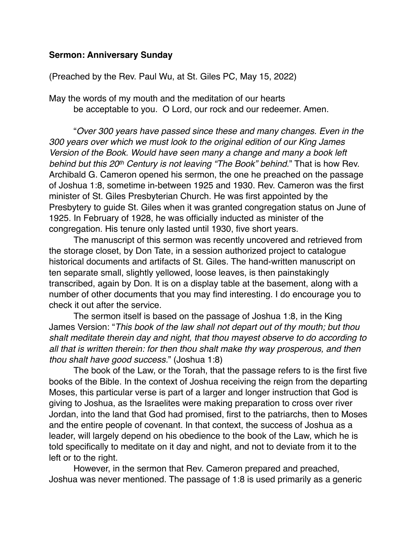## **Sermon: Anniversary Sunday**

## (Preached by the Rev. Paul Wu, at St. Giles PC, May 15, 2022)

May the words of my mouth and the meditation of our hearts be acceptable to you. O Lord, our rock and our redeemer. Amen.

"*Over 300 years have passed since these and many changes. Even in the 300 years over which we must look to the original edition of our King James Version of the Book. Would have seen many a change and many a book left behind but this 20th Century is not leaving "The Book" behind.*" That is how Rev. Archibald G. Cameron opened his sermon, the one he preached on the passage of Joshua 1:8, sometime in-between 1925 and 1930. Rev. Cameron was the first minister of St. Giles Presbyterian Church. He was first appointed by the Presbytery to guide St. Giles when it was granted congregation status on June of 1925. In February of 1928, he was officially inducted as minister of the congregation. His tenure only lasted until 1930, five short years.

The manuscript of this sermon was recently uncovered and retrieved from the storage closet, by Don Tate, in a session authorized project to catalogue historical documents and artifacts of St. Giles. The hand-written manuscript on ten separate small, slightly yellowed, loose leaves, is then painstakingly transcribed, again by Don. It is on a display table at the basement, along with a number of other documents that you may find interesting. I do encourage you to check it out after the service.

The sermon itself is based on the passage of Joshua 1:8, in the King James Version: "*This book of the law shall not depart out of thy mouth; but thou shalt meditate therein day and night, that thou mayest observe to do according to all that is written therein: for then thou shalt make thy way prosperous, and then thou shalt have good success.*" (Joshua 1:8)

The book of the Law, or the Torah, that the passage refers to is the first five books of the Bible. In the context of Joshua receiving the reign from the departing Moses, this particular verse is part of a larger and longer instruction that God is giving to Joshua, as the Israelites were making preparation to cross over river Jordan, into the land that God had promised, first to the patriarchs, then to Moses and the entire people of covenant. In that context, the success of Joshua as a leader, will largely depend on his obedience to the book of the Law, which he is told specifically to meditate on it day and night, and not to deviate from it to the left or to the right.

However, in the sermon that Rev. Cameron prepared and preached, Joshua was never mentioned. The passage of 1:8 is used primarily as a generic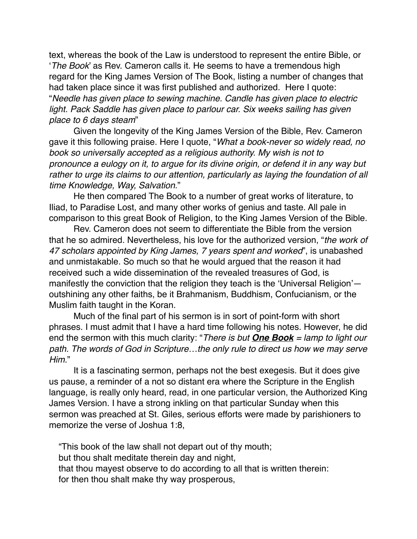text, whereas the book of the Law is understood to represent the entire Bible, or '*The Book*' as Rev. Cameron calls it. He seems to have a tremendous high regard for the King James Version of The Book, listing a number of changes that had taken place since it was first published and authorized. Here I quote: "*Needle has given place to sewing machine. Candle has given place to electric*  light. Pack Saddle has given place to parlour car. Six weeks sailing has given *place to 6 days steam*"

Given the longevity of the King James Version of the Bible, Rev. Cameron gave it this following praise. Here I quote, "*What a book-never so widely read, no book so universally accepted as a religious authority. My wish is not to pronounce a eulogy on it, to argue for its divine origin, or defend it in any way but rather to urge its claims to our attention, particularly as laying the foundation of all time Knowledge, Way, Salvation.*"

He then compared The Book to a number of great works of literature, to Iliad, to Paradise Lost, and many other works of genius and taste. All pale in comparison to this great Book of Religion, to the King James Version of the Bible.

Rev. Cameron does not seem to differentiate the Bible from the version that he so admired. Nevertheless, his love for the authorized version, "*the work of 47 scholars appointed by King James, 7 years spent and worked*", is unabashed and unmistakable. So much so that he would argued that the reason it had received such a wide dissemination of the revealed treasures of God, is manifestly the conviction that the religion they teach is the 'Universal Religion' outshining any other faiths, be it Brahmanism, Buddhism, Confucianism, or the Muslim faith taught in the Koran.

Much of the final part of his sermon is in sort of point-form with short phrases. I must admit that I have a hard time following his notes. However, he did end the sermon with this much clarity: "*There is but One Book = lamp to light our*  path. The words of God in Scripture...the only rule to direct us how we may serve *Him.*"

It is a fascinating sermon, perhaps not the best exegesis. But it does give us pause, a reminder of a not so distant era where the Scripture in the English language, is really only heard, read, in one particular version, the Authorized King James Version. I have a strong inkling on that particular Sunday when this sermon was preached at St. Giles, serious efforts were made by parishioners to memorize the verse of Joshua 1:8,

"This book of the law shall not depart out of thy mouth; but thou shalt meditate therein day and night, that thou mayest observe to do according to all that is written therein: for then thou shalt make thy way prosperous,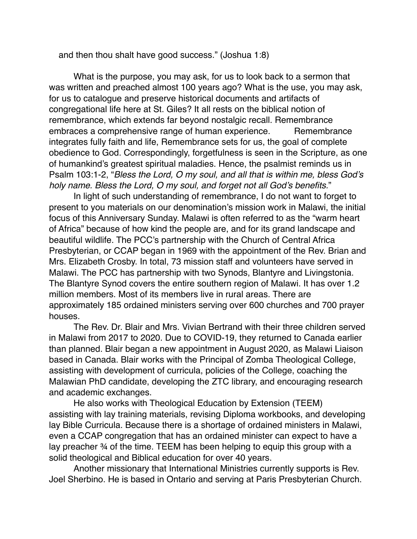and then thou shalt have good success." (Joshua 1:8)

What is the purpose, you may ask, for us to look back to a sermon that was written and preached almost 100 years ago? What is the use, you may ask, for us to catalogue and preserve historical documents and artifacts of congregational life here at St. Giles? It all rests on the biblical notion of remembrance, which extends far beyond nostalgic recall. Remembrance embraces a comprehensive range of human experience. Remembrance integrates fully faith and life, Remembrance sets for us, the goal of complete obedience to God. Correspondingly, forgetfulness is seen in the Scripture, as one of humankind's greatest spiritual maladies. Hence, the psalmist reminds us in Psalm 103:1-2, "*Bless the Lord, O my soul, and all that is within me, bless God's holy name. Bless the Lord, O my soul, and forget not all God's benefits.*"

In light of such understanding of remembrance, I do not want to forget to present to you materials on our denomination's mission work in Malawi, the initial focus of this Anniversary Sunday. Malawi is often referred to as the "warm heart of Africa" because of how kind the people are, and for its grand landscape and beautiful wildlife. The PCC's partnership with the Church of Central Africa Presbyterian, or CCAP began in 1969 with the appointment of the Rev. Brian and Mrs. Elizabeth Crosby. In total, 73 mission staff and volunteers have served in Malawi. The PCC has partnership with two Synods, Blantyre and Livingstonia. The Blantyre Synod covers the entire southern region of Malawi. It has over 1.2 million members. Most of its members live in rural areas. There are approximately 185 ordained ministers serving over 600 churches and 700 prayer houses.

The Rev. Dr. Blair and Mrs. Vivian Bertrand with their three children served in Malawi from 2017 to 2020. Due to COVID-19, they returned to Canada earlier than planned. Blair began a new appointment in August 2020, as Malawi Liaison based in Canada. Blair works with the Principal of Zomba Theological College, assisting with development of curricula, policies of the College, coaching the Malawian PhD candidate, developing the ZTC library, and encouraging research and academic exchanges.

He also works with Theological Education by Extension (TEEM) assisting with lay training materials, revising Diploma workbooks, and developing lay Bible Curricula. Because there is a shortage of ordained ministers in Malawi, even a CCAP congregation that has an ordained minister can expect to have a lay preacher ¾ of the time. TEEM has been helping to equip this group with a solid theological and Biblical education for over 40 years.

Another missionary that International Ministries currently supports is Rev. Joel Sherbino. He is based in Ontario and serving at Paris Presbyterian Church.